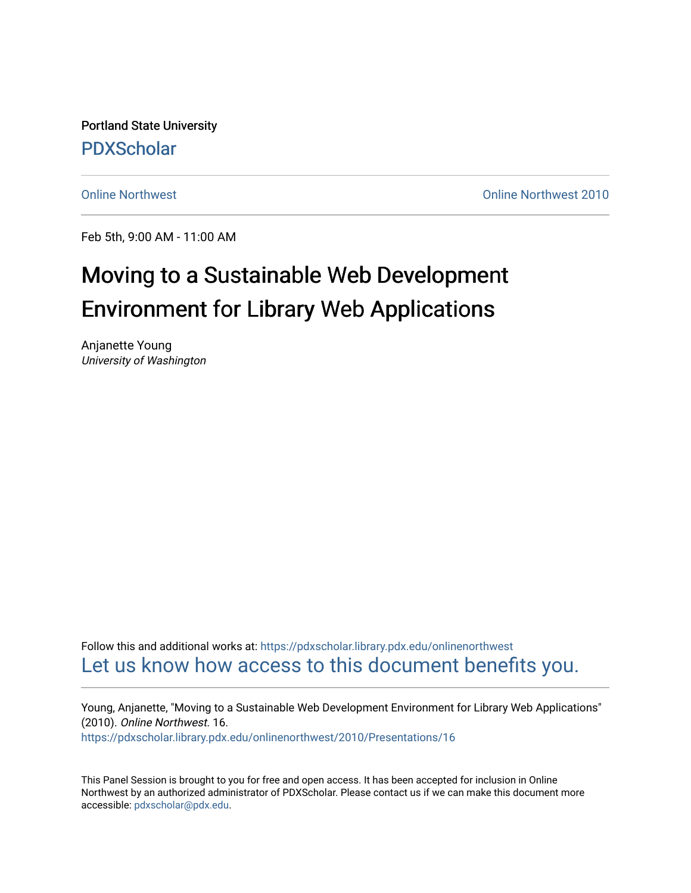Portland State University [PDXScholar](https://pdxscholar.library.pdx.edu/)

[Online Northwest](https://pdxscholar.library.pdx.edu/onlinenorthwest) [Online Northwest 2010](https://pdxscholar.library.pdx.edu/onlinenorthwest/2010) 

Feb 5th, 9:00 AM - 11:00 AM

#### Moving to a Sustainable Web Development Environment for Library Web Applications

Anjanette Young University of Washington

Follow this and additional works at: [https://pdxscholar.library.pdx.edu/onlinenorthwest](https://pdxscholar.library.pdx.edu/onlinenorthwest?utm_source=pdxscholar.library.pdx.edu%2Fonlinenorthwest%2F2010%2FPresentations%2F16&utm_medium=PDF&utm_campaign=PDFCoverPages)  [Let us know how access to this document benefits you.](http://library.pdx.edu/services/pdxscholar-services/pdxscholar-feedback/) 

Young, Anjanette, "Moving to a Sustainable Web Development Environment for Library Web Applications" (2010). Online Northwest. 16. [https://pdxscholar.library.pdx.edu/onlinenorthwest/2010/Presentations/16](https://pdxscholar.library.pdx.edu/onlinenorthwest/2010/Presentations/16?utm_source=pdxscholar.library.pdx.edu%2Fonlinenorthwest%2F2010%2FPresentations%2F16&utm_medium=PDF&utm_campaign=PDFCoverPages) 

This Panel Session is brought to you for free and open access. It has been accepted for inclusion in Online Northwest by an authorized administrator of PDXScholar. Please contact us if we can make this document more accessible: [pdxscholar@pdx.edu.](mailto:pdxscholar@pdx.edu)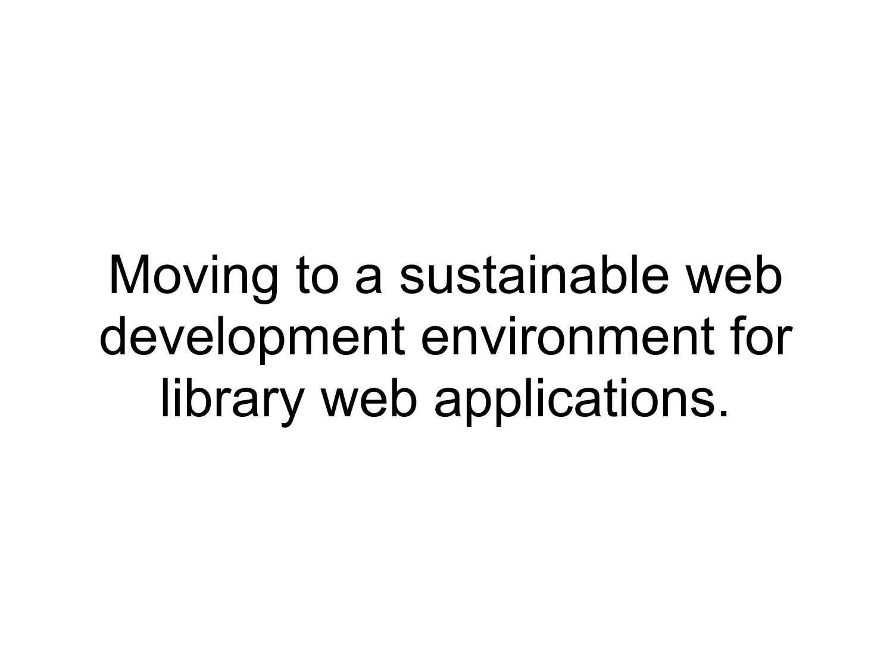Moving to a sustainable web development environment for library web applications.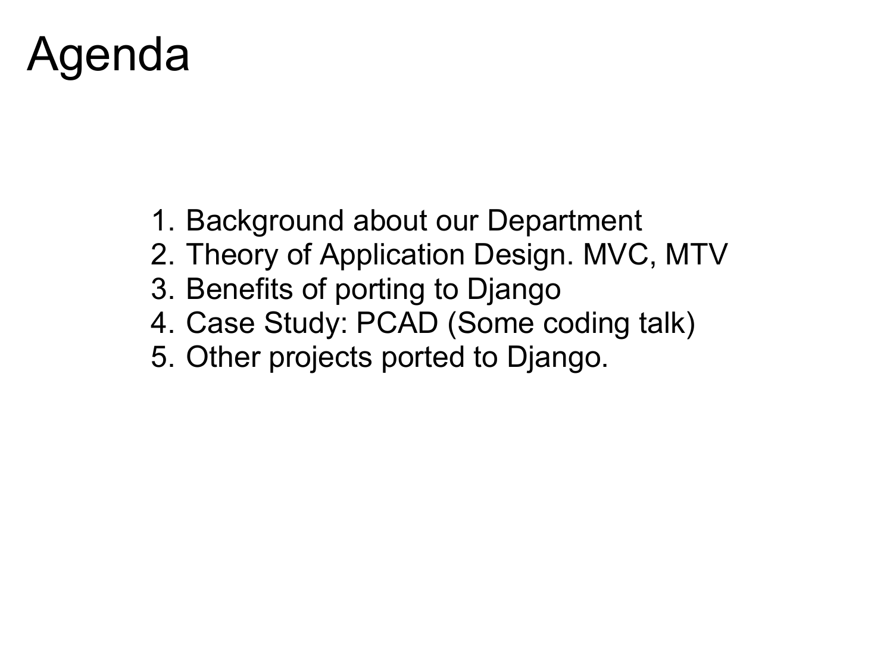### Agenda

- 1. Background about our Department
- 2. Theory of Application Design. MVC, MTV
- 3. Benefits of porting to Django
- 4. Case Study: PCAD (Some coding talk)
- 5. Other projects ported to Django.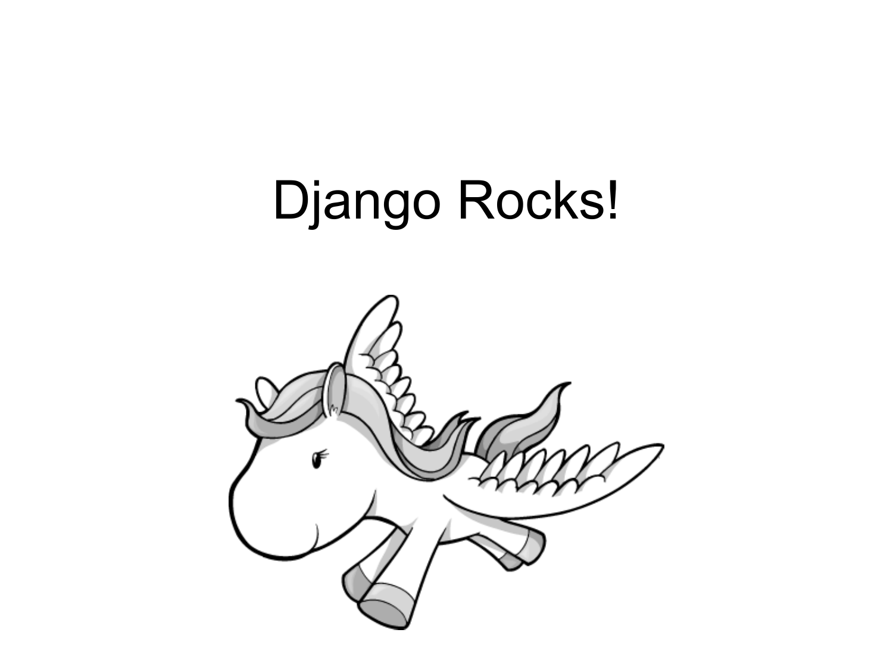# Django Rocks!

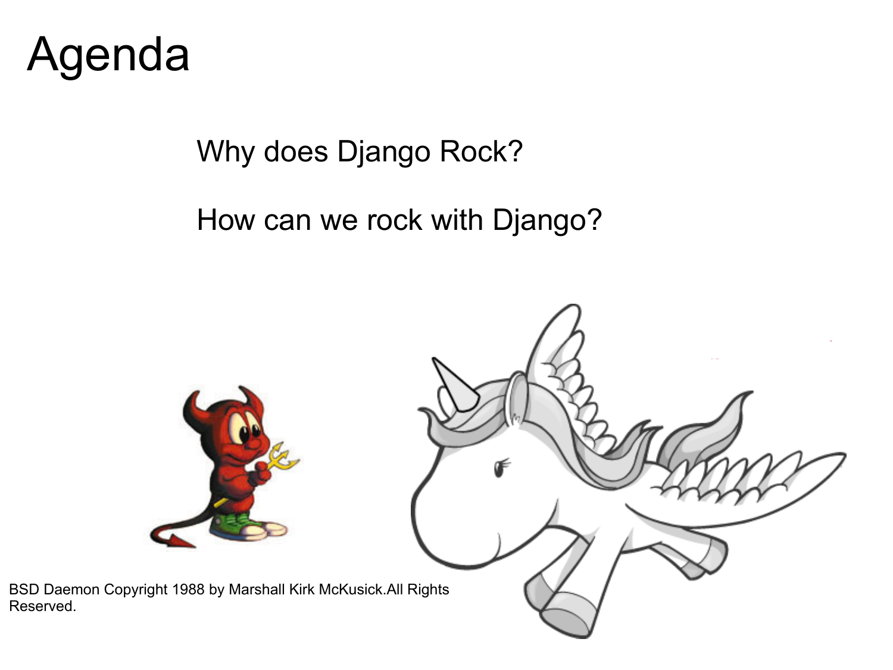

Reserved.

Why does Django Rock?

How can we rock with Django?

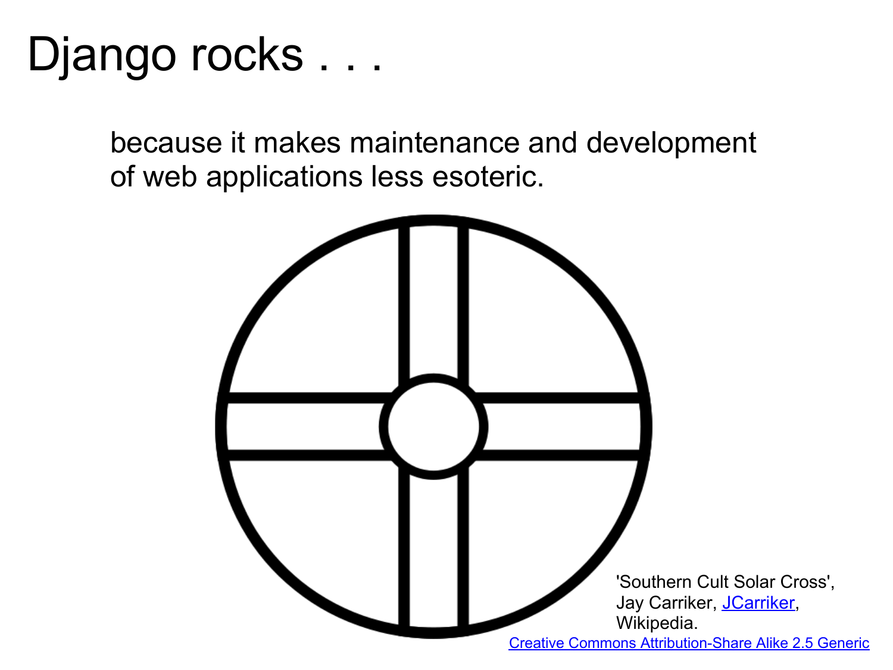

because it makes maintenance and development of web applications less esoteric.

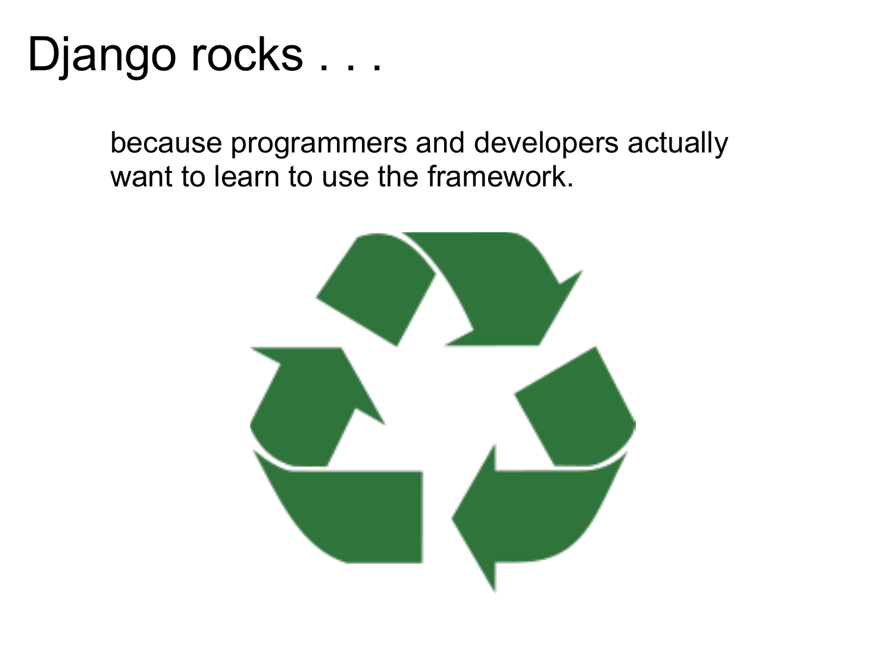because programmers and developers actually want to learn to use the framework.

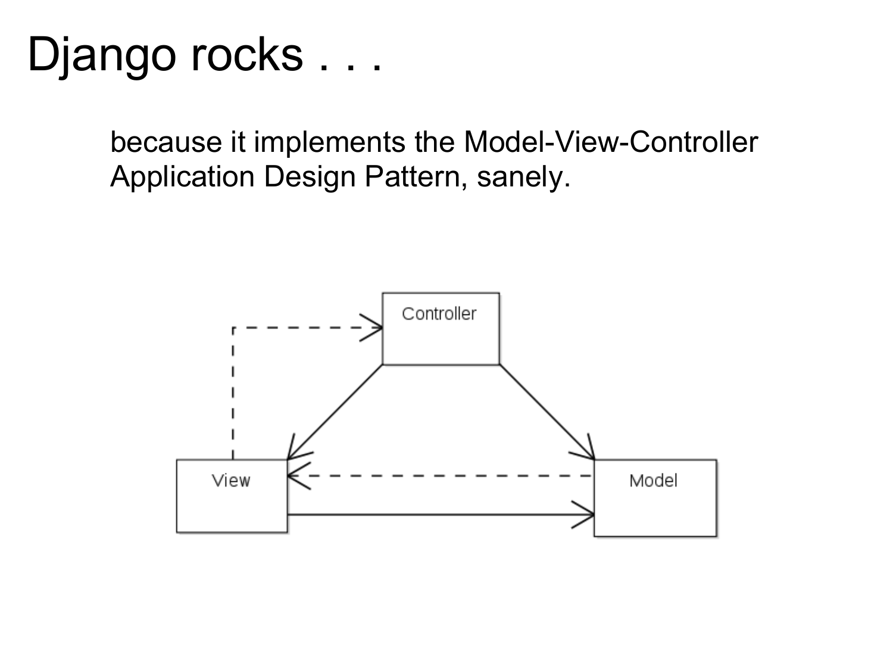because it implements the Model-View-Controller Application Design Pattern, sanely.

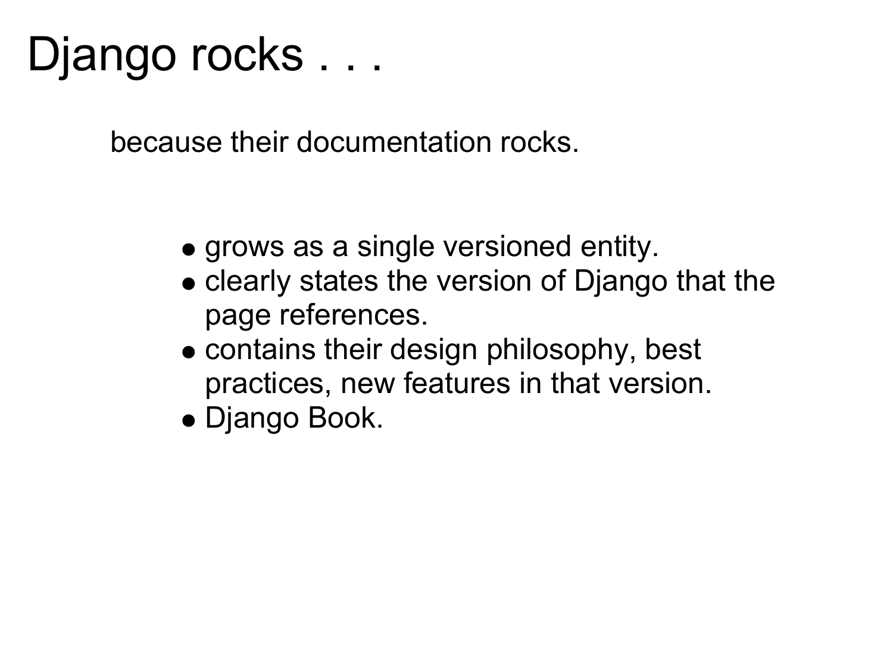because their documentation rocks.

- grows as a single versioned entity.
- clearly states the version of Django that the page references.
- contains their design philosophy, best practices, new features in that version.
- Django Book.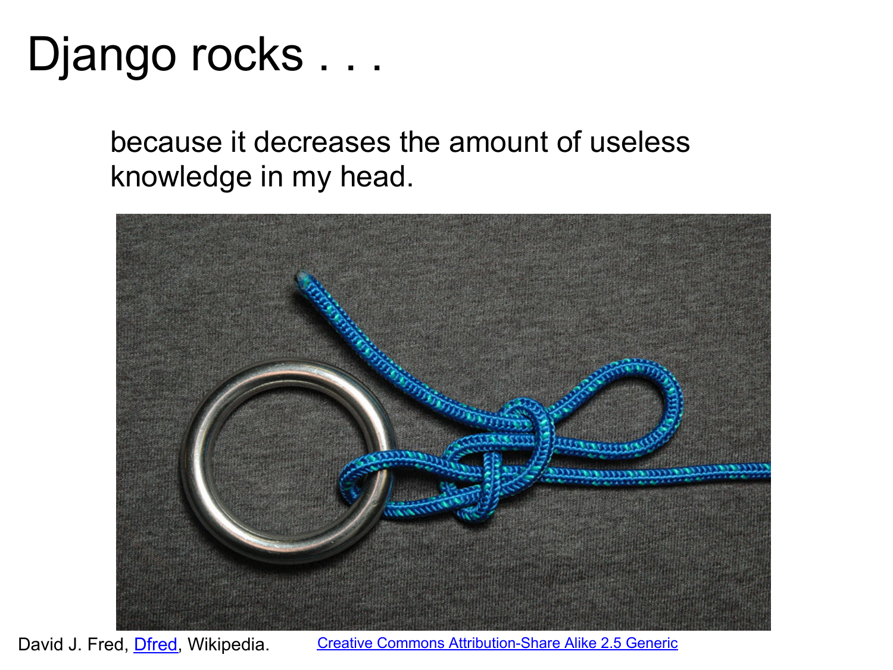because it decreases the amount of useless knowledge in my head.



David J. Fred, *[Dfred](http://commons.wikimedia.org/wiki/User:Dfred)*, Wikipedia. [Creative Commons Attribution-Share Alike 2.5 Generic](http://creativecommons.org/licenses/by-sa/2.5/deed.en)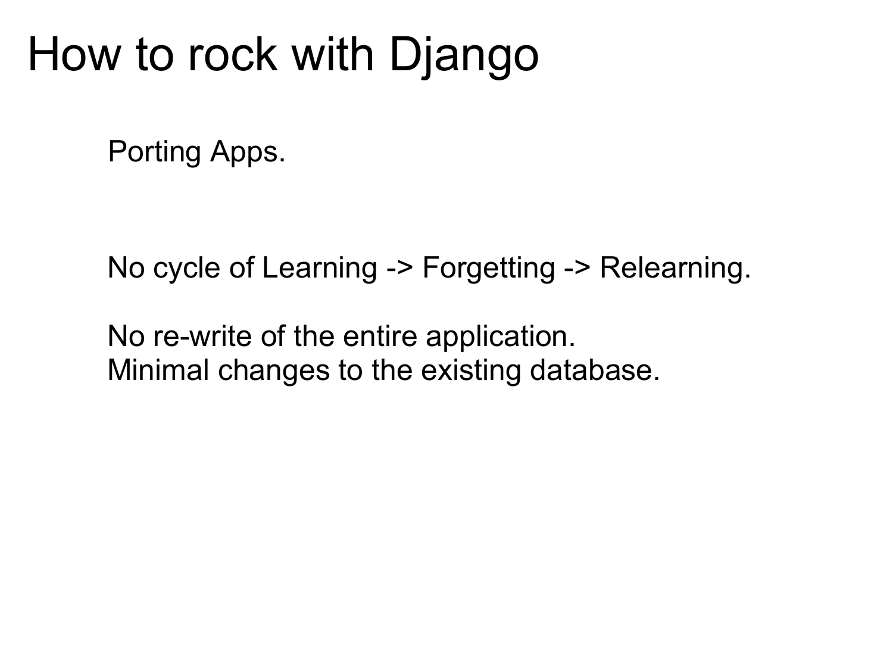### How to rock with Django

Porting Apps.

No cycle of Learning -> Forgetting -> Relearning.

No re-write of the entire application. Minimal changes to the existing database.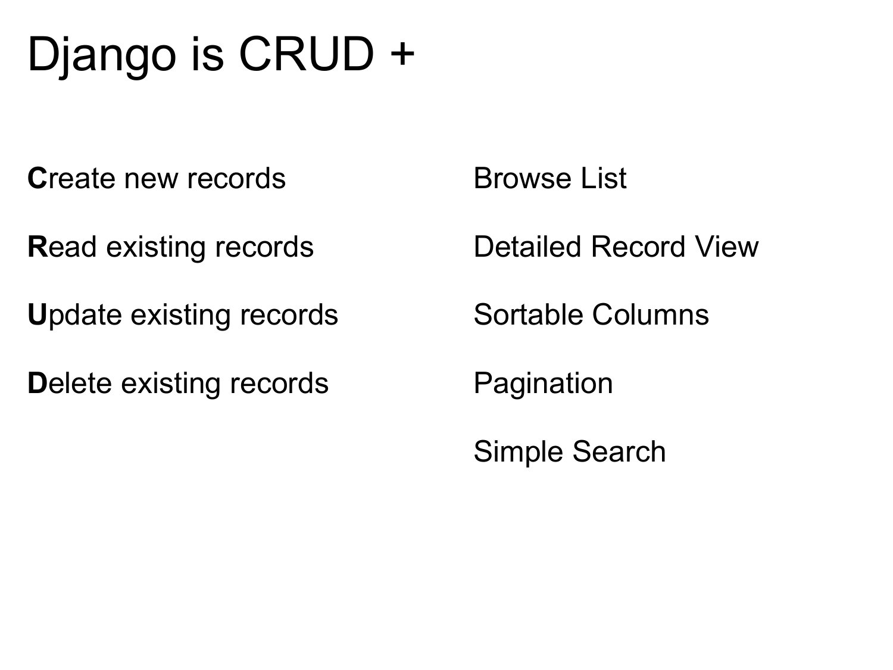# Django is CRUD +

**C**reate new records

**R**ead existing records

**U**pdate existing records

**D**elete existing records

Browse List

Detailed Record View

Sortable Columns

Pagination

Simple Search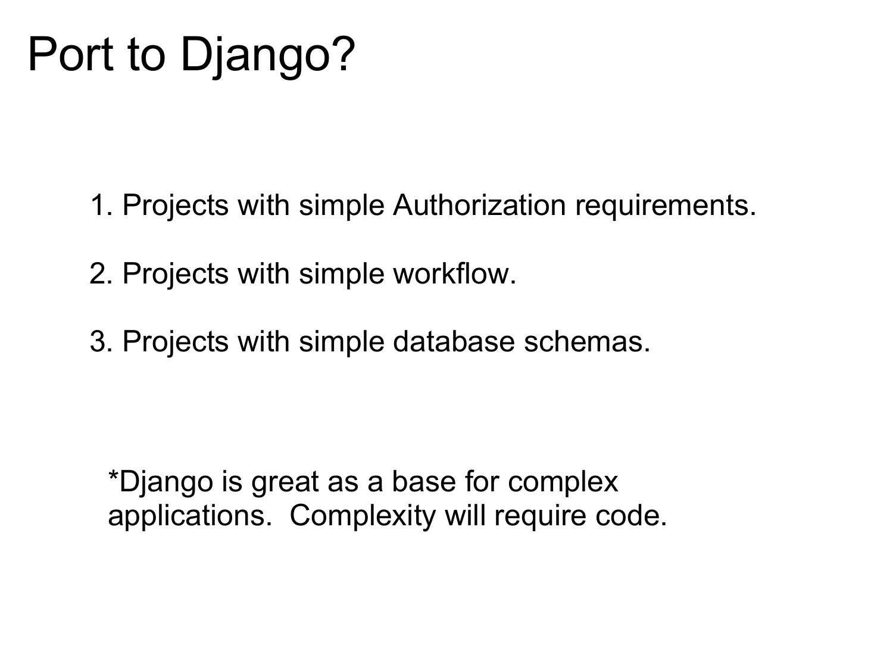### Port to Django?

- 1. Projects with simple Authorization requirements.
- 2. Projects with simple workflow.
- 3. Projects with simple database schemas.

\*Django is great as a base for complex applications. Complexity will require code.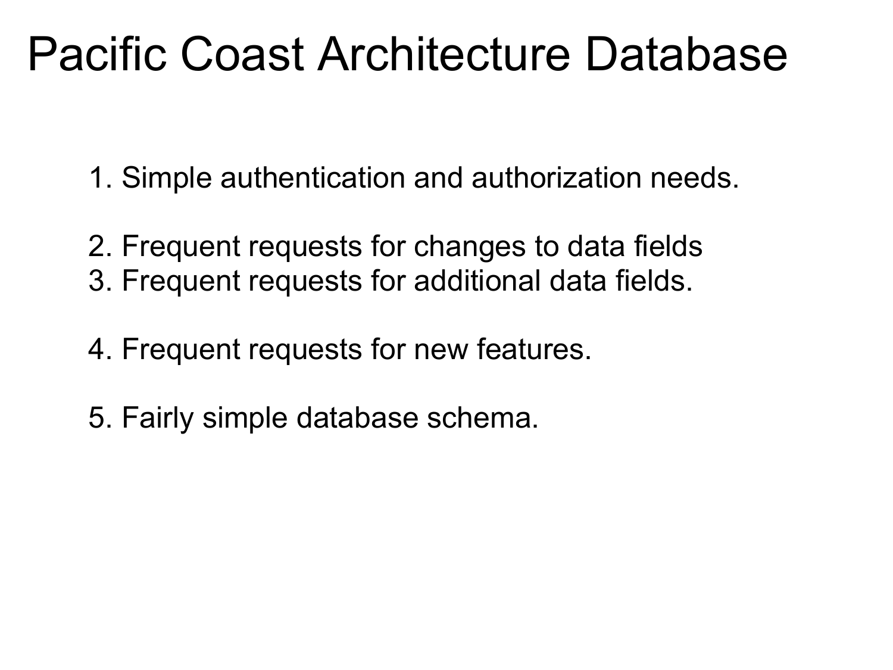### Pacific Coast Architecture Database

- 1. Simple authentication and authorization needs.
- 2. Frequent requests for changes to data fields 3. Frequent requests for additional data fields.
- 4. Frequent requests for new features.
- 5. Fairly simple database schema.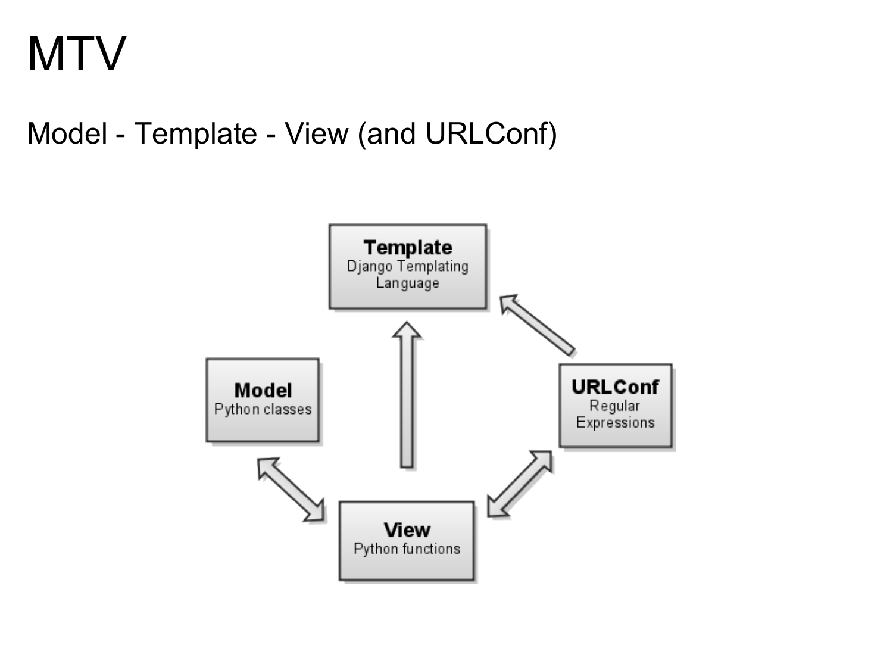### **MTV**

Model - Template - View (and URLConf)

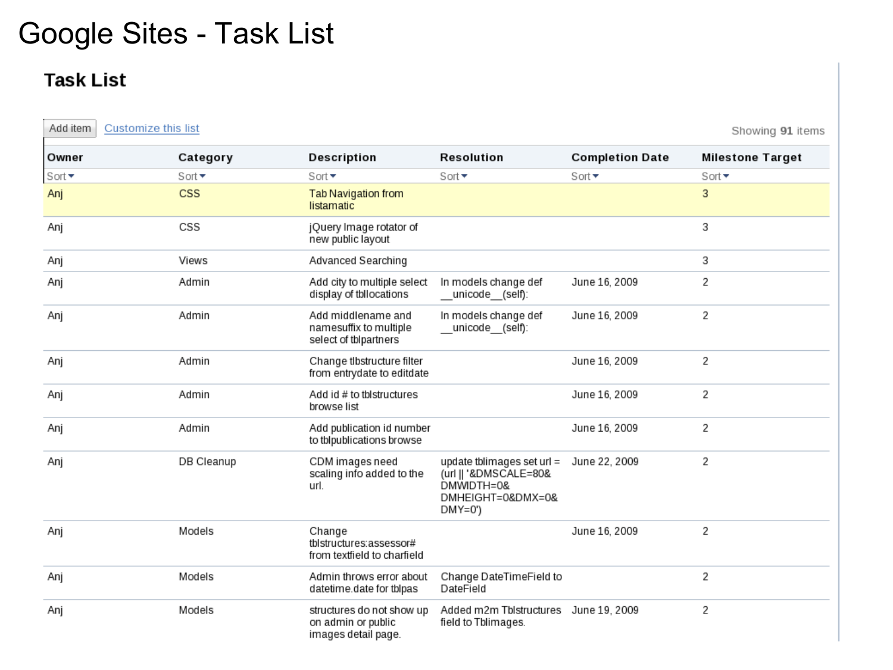#### Google Sites - Task List

#### **Task List**

| Add item | Customize this list           |                                                                        |                                                                                                      |                           | Showing 91 items          |
|----------|-------------------------------|------------------------------------------------------------------------|------------------------------------------------------------------------------------------------------|---------------------------|---------------------------|
| Owner    | Category                      | Description                                                            | Resolution                                                                                           | <b>Completion Date</b>    | <b>Milestone Target</b>   |
| Sort +   | Sort $\overline{\phantom{a}}$ | Sort $\blacktriangledown$                                              | Sort $\overline{\phantom{a}}$                                                                        | Sort $\blacktriangledown$ | Sort $\blacktriangledown$ |
| Anj      | CSS                           | Tab Navigation from<br>listamatic                                      |                                                                                                      |                           | 3                         |
| Anj      | CSS                           | jQuery Image rotator of<br>new public layout                           |                                                                                                      |                           | 3                         |
| Anj      | Views                         | Advanced Searching                                                     |                                                                                                      |                           | 3                         |
| Anj      | Admin                         | Add city to multiple select<br>display of tbllocations                 | In models change def<br>_unicode_(self):                                                             | June 16, 2009             | 2                         |
| Anj      | Admin                         | Add middlename and<br>namesuffix to multiple<br>select of tblpartners  | In models change def<br>__unicode__(self):                                                           | June 16, 2009             | 2                         |
| Anj      | Admin                         | Change tibstructure filter<br>from entrydate to editdate               |                                                                                                      | June 16, 2009             | 2                         |
| Anj      | Admin                         | Add id # to tblstructures<br>browse list                               |                                                                                                      | June 16, 2009             | 2                         |
| Anj      | Admin                         | Add publication id number<br>to tblpublications browse                 |                                                                                                      | June 16, 2009             | 2                         |
| Anj      | DB Cleanup                    | CDM images need<br>scaling info added to the<br>url.                   | update tblimages set url $=$<br>(url    '&DMSCALE=80&<br>DMWIDTH=0&<br>DMHEIGHT=0&DMX=0&<br>$DMY=0'$ | June 22, 2009             | 2                         |
| Anj      | Models                        | Change<br>tblstructures:assessor#<br>from textfield to charfield       |                                                                                                      | June 16, 2009             | 2                         |
| Anj      | Models                        | Admin throws error about<br>datetime.date for tblpas                   | Change DateTimeField to<br>DateField                                                                 |                           | 2                         |
| Anj      | Models                        | structures do not show up<br>on admin or public<br>images detail page. | Added m2m Tblstructures June 19, 2009<br>field to Tblimages.                                         |                           | 2                         |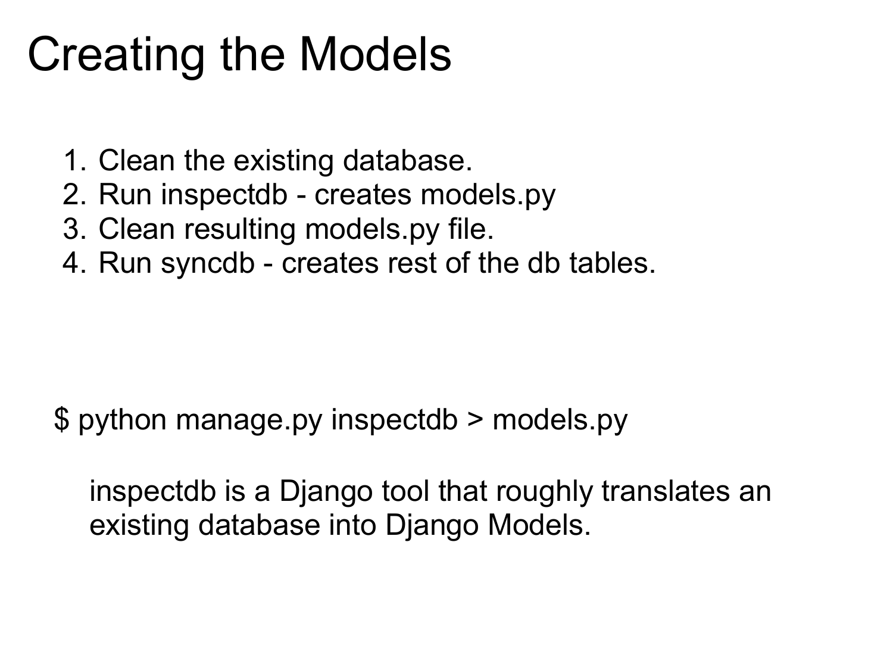### Creating the Models

- 1. Clean the existing database.
- 2. Run inspectdb creates models.py
- 3. Clean resulting models.py file.
- 4. Run syncdb creates rest of the db tables.

\$ python manage.py inspectdb > models.py

inspectdb is a Django tool that roughly translates an existing database into Django Models.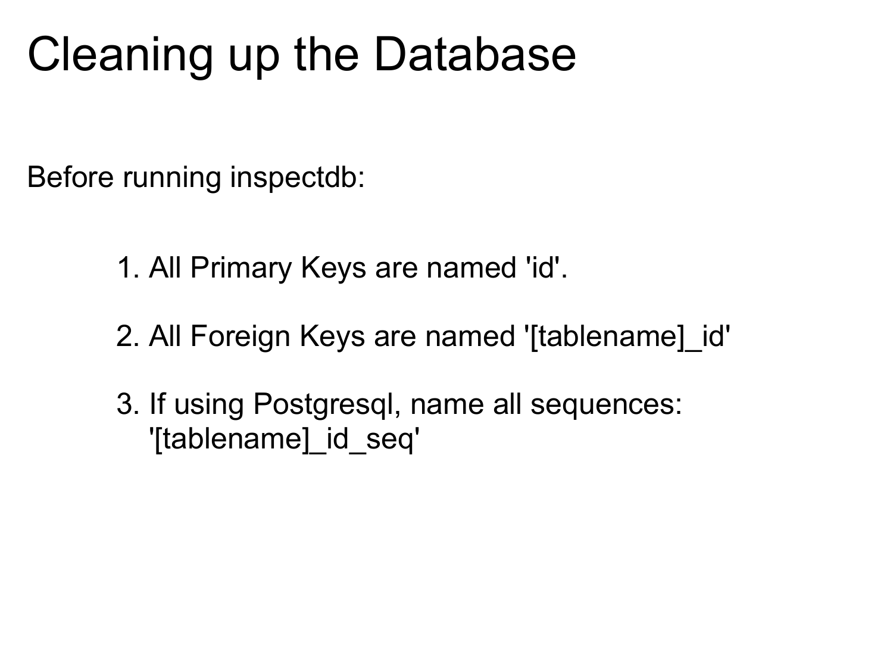### Cleaning up the Database

Before running inspectdb:

- 1. All Primary Keys are named 'id'.
- 2. All Foreign Keys are named '[tablename]\_id'
- 3. If using Postgresql, name all sequences: '[tablename] id\_seq'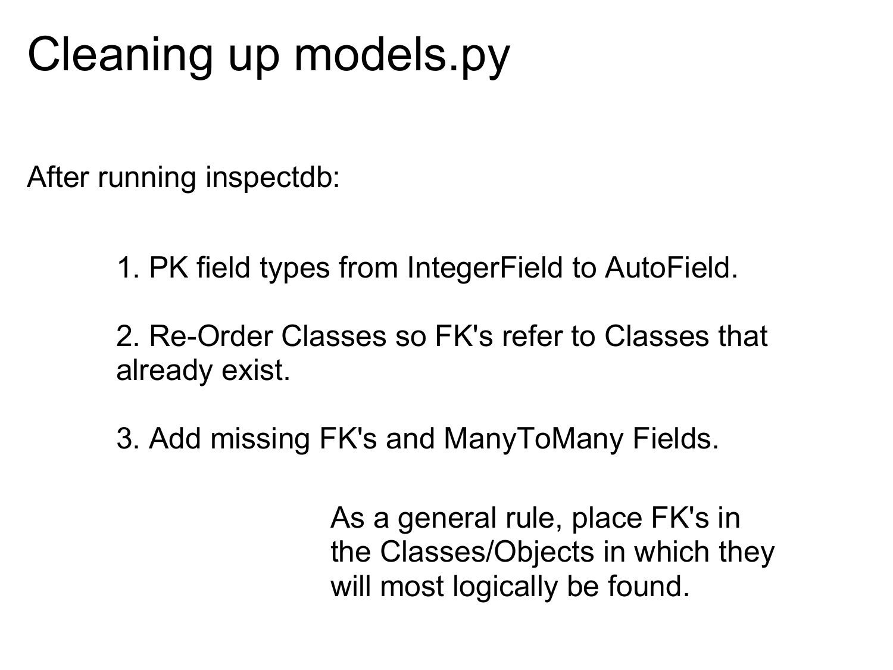## Cleaning up models.py

After running inspectdb:

1. PK field types from IntegerField to AutoField.

2. Re-Order Classes so FK's refer to Classes that already exist.

3. Add missing FK's and ManyToMany Fields.

As a general rule, place FK's in the Classes/Objects in which they will most logically be found.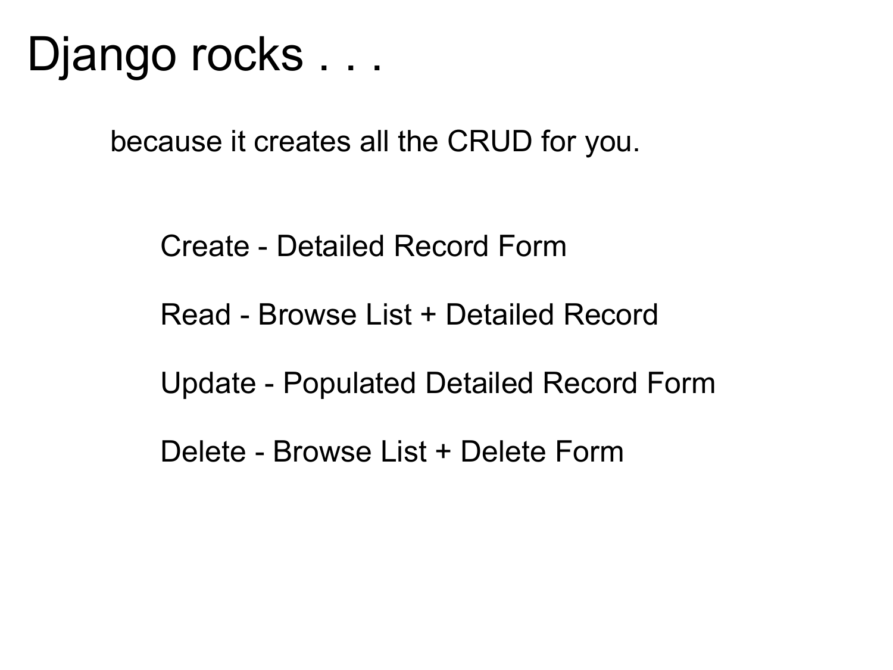because it creates all the CRUD for you.

Create - Detailed Record Form

Read - Browse List + Detailed Record

Update - Populated Detailed Record Form

Delete - Browse List + Delete Form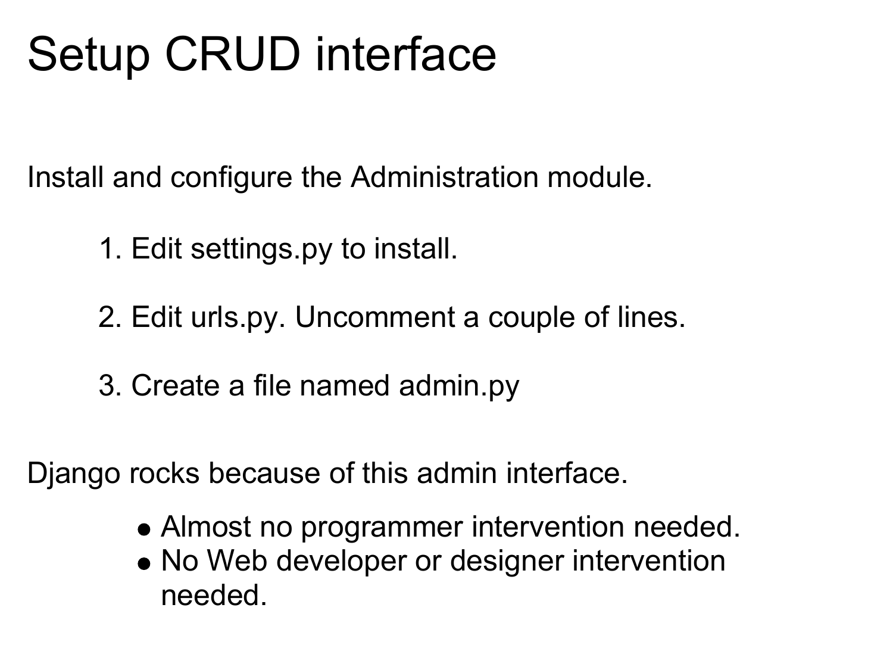# Setup CRUD interface

Install and configure the Administration module.

- 1. Edit settings.py to install.
- 2. Edit urls.py. Uncomment a couple of lines.
- 3. Create a file named admin.py

Django rocks because of this admin interface.

- Almost no programmer intervention needed.
- No Web developer or designer intervention needed.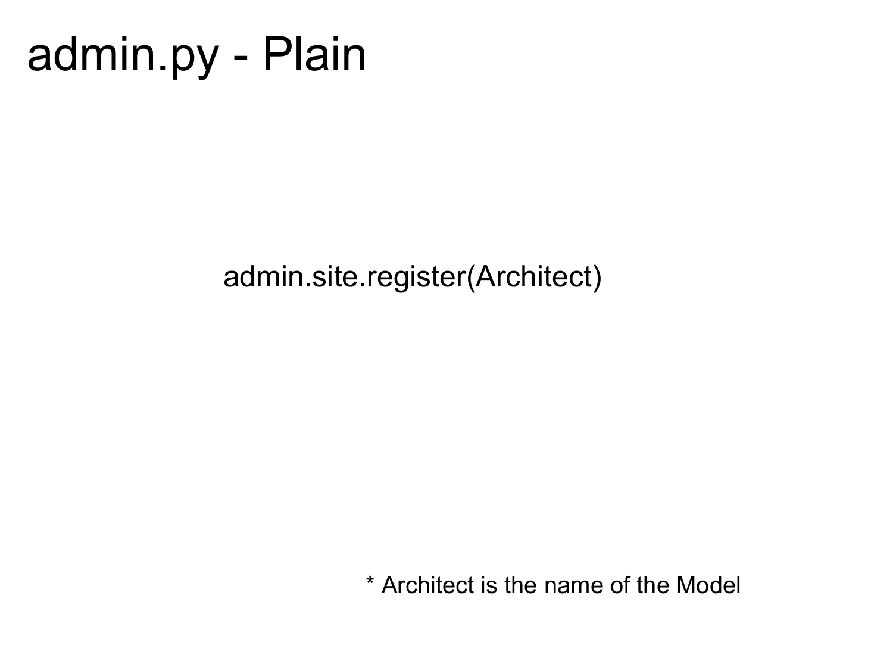### admin.py - Plain

admin.site.register(Architect)

\* Architect is the name of the Model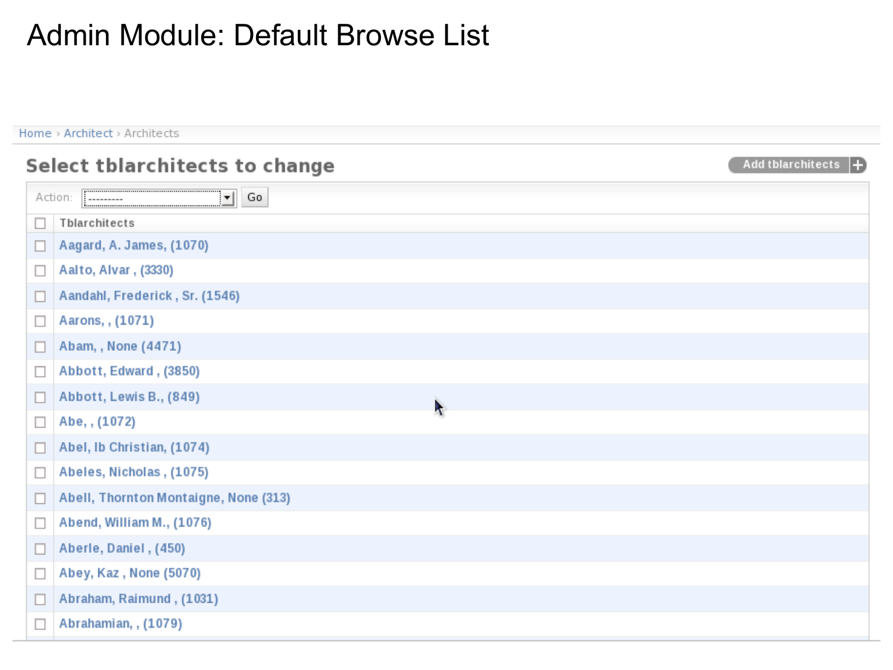#### Admin Module: Default Browse List

Home > Architect > Architects Select tblarchitects to change **Add tblarchitects**  $\vert \mathbf{v} \vert$ Go Action: Tblarchitects П Aagard, A. James, (1070)  $\Box$ Aalto, Alvar, (3330)  $\Box$ Aandahl, Frederick, Sr. (1546) L Aarons, , (1071) □ Abam, , None (4471) П Abbott, Edward, (3850) □ Abbott, Lewis B., (849) □  $\ddot{\phantom{1}}$ Abe, , (1072) П Abel, Ib Christian, (1074) П Abeles, Nicholas, (1075) □ Abell, Thornton Montaigne, None (313) □ Abend, William M., (1076) □  $\Box$ Aberle, Daniel, (450) Abey, Kaz, None (5070) П Abraham, Raimund, (1031) П  $\Box$ Abrahamian, , (1079)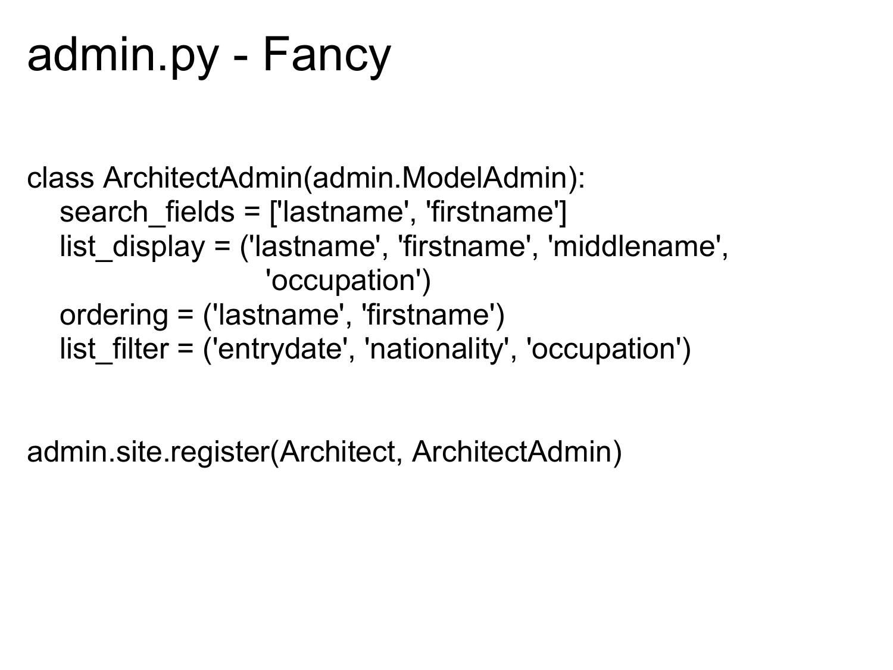# admin.py - Fancy

```
class ArchitectAdmin(admin.ModelAdmin):
   search_fields = ['lastname', 'firstname']
   list_display = ('lastname', 'firstname', 'middlename', 
                    'occupation')
   ordering = ('lastname', 'firstname')
  list filter = ('entrydate', 'nationality', 'occupation')
```
admin.site.register(Architect, ArchitectAdmin)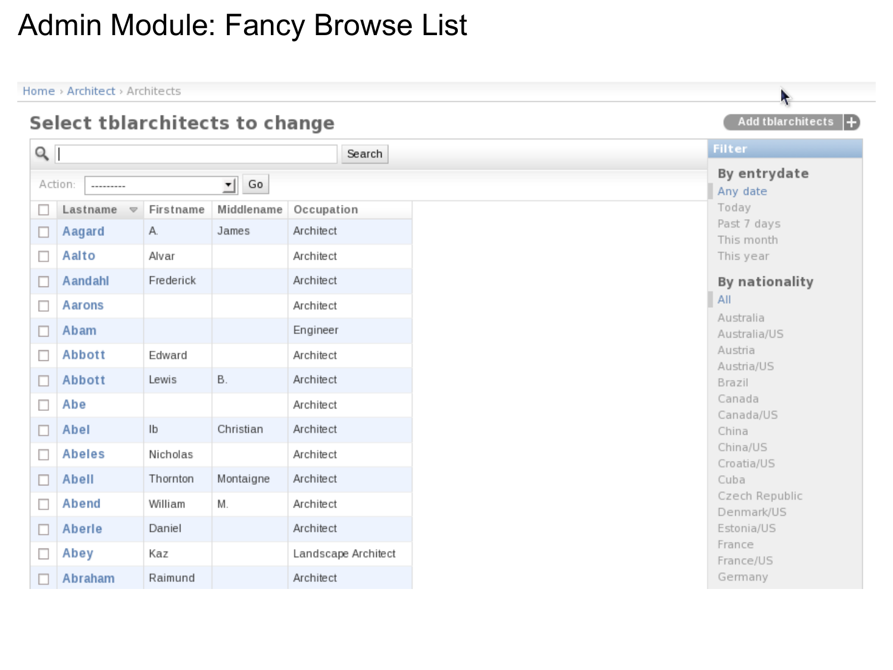#### Admin Module: Fancy Browse List

Home > Architect > Architects

|                                |                                 |               |                 |                     | л.                                   |
|--------------------------------|---------------------------------|---------------|-----------------|---------------------|--------------------------------------|
| Select tblarchitects to change |                                 |               |                 |                     | Add tblarchitects $\left  + \right>$ |
| $\alpha$                       |                                 |               |                 | Search              | Filter                               |
|                                | Action:<br>---------            |               | $\mathbf{I}$ Go |                     | By entrydate<br>Any date             |
|                                | Lastname<br>$\overline{\nabla}$ | Firstname     | Middlename      | Occupation          | Today                                |
| $\Box$                         | Aagard                          | А.            | James           | Architect           | Past 7 days<br>This month            |
| $\Box$                         | Aalto                           | Alvar         |                 | Architect           | This year                            |
| □                              | Aandahl                         | Frederick     |                 | Architect           | By nationality                       |
| $\Box$                         | Aarons                          |               |                 | Architect           | All                                  |
|                                |                                 |               |                 |                     | Australia                            |
|                                | Abam                            |               |                 | Engineer            | Australia/US                         |
| $\Box$                         | Abbott                          | Edward        |                 | Architect           | Austria                              |
| $\Box$                         | Abbott                          | Lewis         | В.              | Architect           | Austria/US<br>Brazil                 |
|                                |                                 |               |                 |                     | Canada                               |
| $\Box$                         | Abe                             |               |                 | Architect           | Canada/US                            |
| $\Box$                         | Abel                            | $\mathsf{lb}$ | Christian       | Architect           | China                                |
| $\Box$                         | <b>Abeles</b>                   | Nicholas      |                 | Architect           | China/US                             |
|                                |                                 |               |                 |                     | Croatia/US                           |
| $\Box$                         | Abell                           | Thornton      | Montaigne       | Architect           | Cuba                                 |
| $\Box$                         | Abend                           | William       | M.              | Architect           | Czech Republic                       |
|                                |                                 |               |                 |                     | Denmark/US                           |
| $\Box$                         | Aberle                          | Daniel        |                 | Architect           | Estonia/US                           |
| $\Box$                         | Abey                            | Kaz           |                 | Landscape Architect | France                               |
|                                |                                 |               |                 |                     | France/US                            |
|                                | Abraham                         | Raimund       |                 | Architect           | Germany                              |

N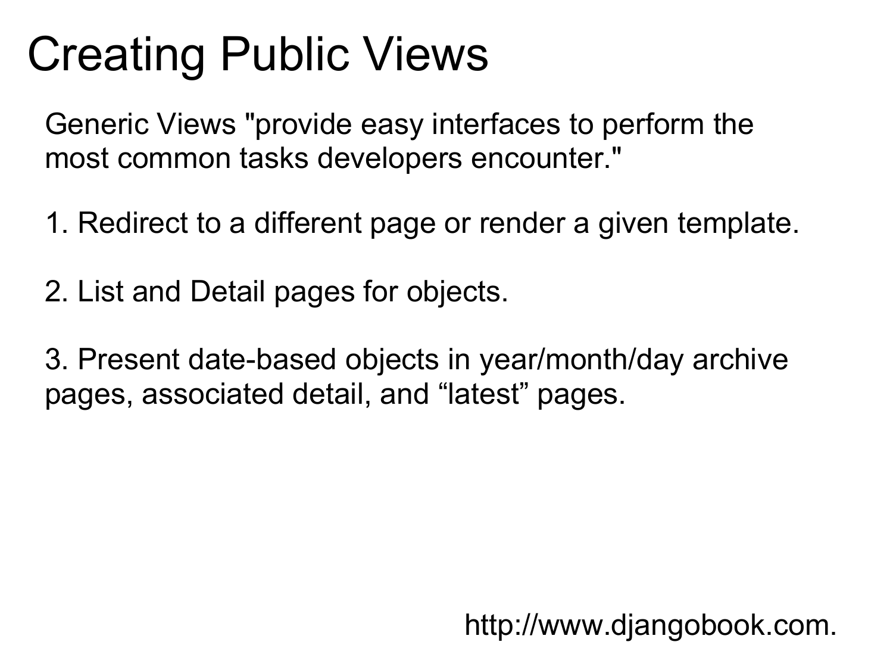## Creating Public Views

Generic Views "provide easy interfaces to perform the most common tasks developers encounter."

1. Redirect to a different page or render a given template.

2. List and Detail pages for objects.

3. Present date-based objects in year/month/day archive pages, associated detail, and "latest" pages.

http://www.djangobook.com.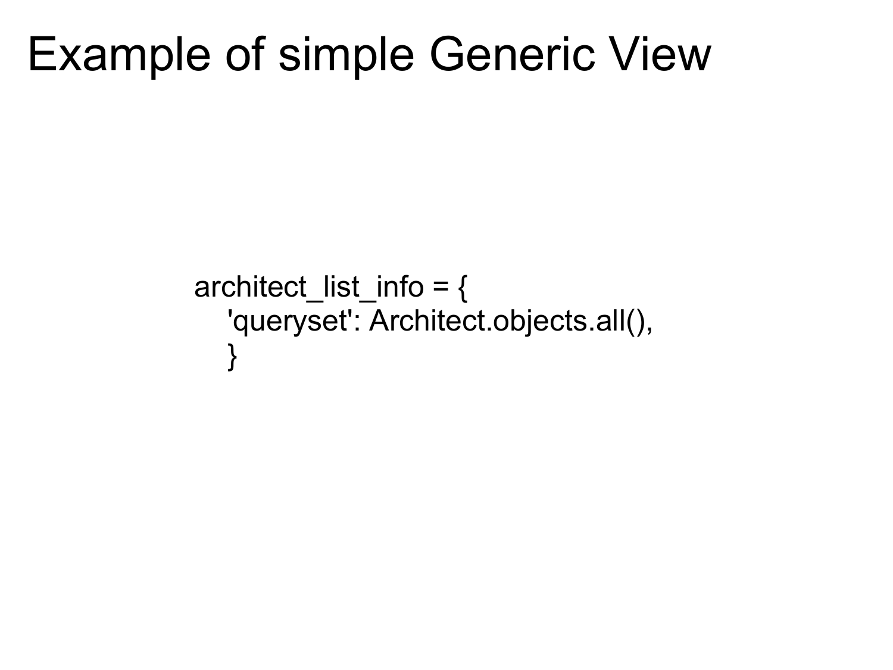### Example of simple Generic View

```
architect_list_info = {
   'queryset': Architect.objects.all(),
    }
```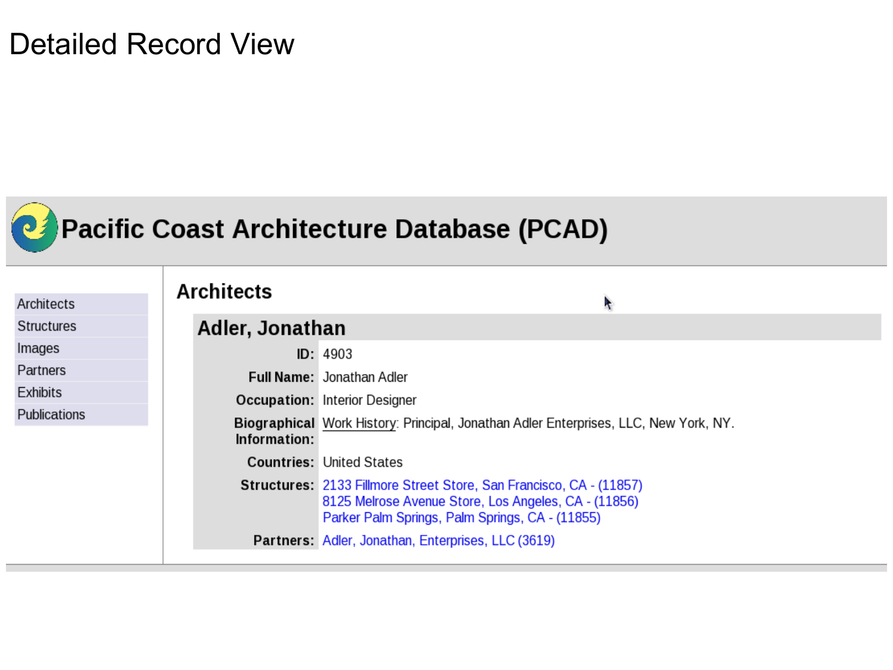#### Detailed Record View



### Pacific Coast Architecture Database (PCAD)

| Architects          | <b>Architects</b>      | ł,                                                                                                                                                                                    |
|---------------------|------------------------|---------------------------------------------------------------------------------------------------------------------------------------------------------------------------------------|
| <b>Structures</b>   | <b>Adler, Jonathan</b> |                                                                                                                                                                                       |
| Images              |                        | ID: 4903                                                                                                                                                                              |
| Partners            |                        | <b>Full Name: Jonathan Adler</b>                                                                                                                                                      |
| <b>Exhibits</b>     |                        | <b>Occupation: Interior Designer</b>                                                                                                                                                  |
| <b>Publications</b> | Information:           | Biographical Work History: Principal, Jonathan Adler Enterprises, LLC, New York, NY.                                                                                                  |
|                     |                        | <b>Countries: United States</b>                                                                                                                                                       |
|                     |                        | <b>Structures: 2133 Fillmore Street Store, San Francisco, CA - (11857)</b><br>8125 Melrose Avenue Store, Los Angeles, CA - (11856)<br>Parker Palm Springs, Palm Springs, CA - (11855) |
|                     |                        | Partners: Adler, Jonathan, Enterprises, LLC (3619)                                                                                                                                    |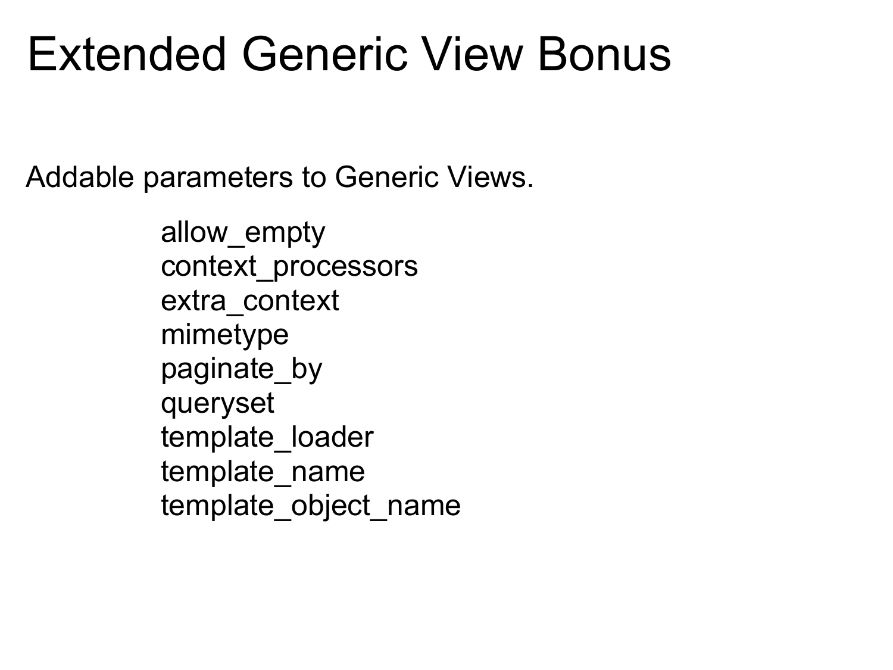### Extended Generic View Bonus

Addable parameters to Generic Views.

allow\_empty context\_processors extra\_context mimetype paginate\_by queryset template loader template\_name template object name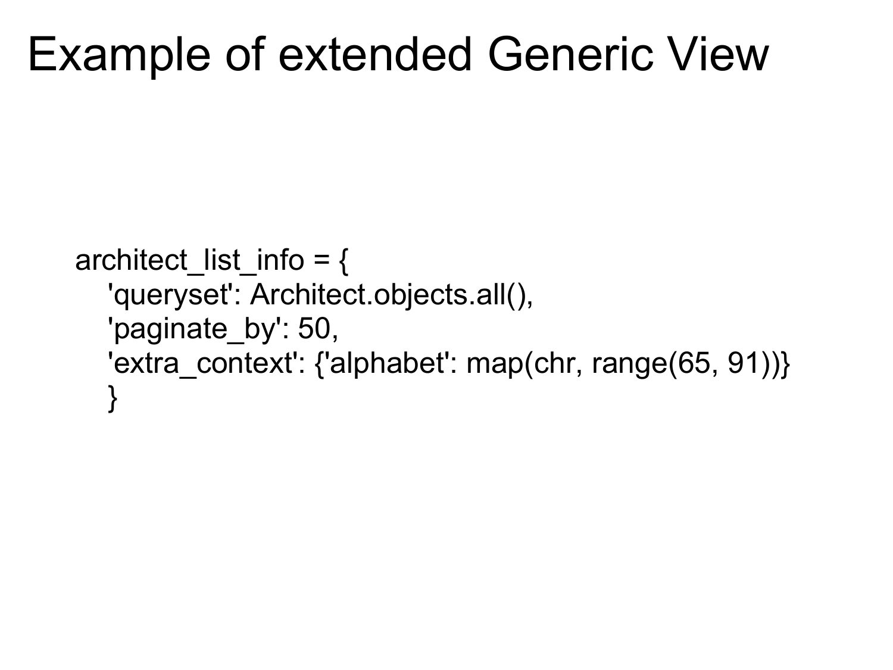### Example of extended Generic View

```
architect_list_info = \{ 'queryset': Architect.objects.all(),
  'paginate by': 50,
  'extra_context': {'alphabet': map(chr, range(65, 91))}
   }
```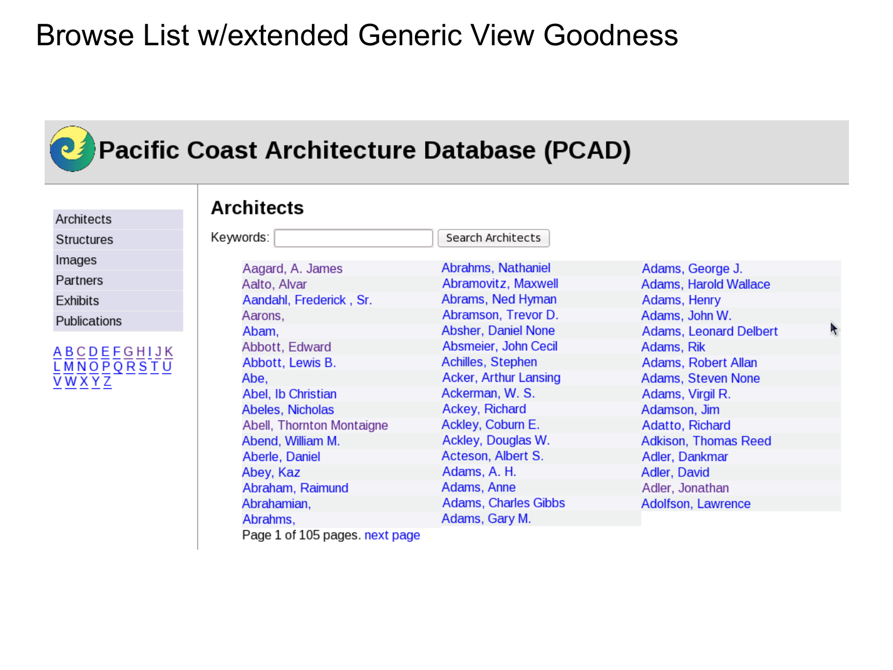#### Browse List w/extended Generic View Goodness

### Pacific Coast Architecture Database (PCAD)

Architects

**Structures** 

Images

Partners

Exhibits

Publications



| <b>Architects</b>            |                             |                               |  |  |  |  |
|------------------------------|-----------------------------|-------------------------------|--|--|--|--|
| Keywords:                    | Search Architects           |                               |  |  |  |  |
| Aagard, A. James             | Abrahms, Nathaniel          | Adams, George J.              |  |  |  |  |
| Aalto, Alvar                 | Abramovitz, Maxwell         | Adams, Harold Wallace         |  |  |  |  |
| Aandahl, Frederick, Sr.      | Abrams, Ned Hyman           | Adams, Henry                  |  |  |  |  |
| Aarons,                      | Abramson, Trevor D.         | Adams, John W.                |  |  |  |  |
| Abam,                        | Absher, Daniel None         | <b>Adams, Leonard Delbert</b> |  |  |  |  |
| Abbott, Edward               | Absmeier, John Cecil        | Adams, Rik                    |  |  |  |  |
| Abbott, Lewis B.             | Achilles, Stephen           | Adams, Robert Allan           |  |  |  |  |
| Abe,                         | Acker, Arthur Lansing       | Adams, Steven None            |  |  |  |  |
| Abel, Ib Christian           | Ackerman, W. S.             | Adams, Virgil R.              |  |  |  |  |
| Abeles, Nicholas             | Ackey, Richard              | Adamson, Jim                  |  |  |  |  |
| Abell, Thornton Montaigne    | Ackley, Coburn E.           | Adatto, Richard               |  |  |  |  |
| Abend, William M.            | Ackley, Douglas W.          | <b>Adkison, Thomas Reed</b>   |  |  |  |  |
| Aberle, Daniel               | Acteson, Albert S.          | Adler, Dankmar                |  |  |  |  |
| Abey, Kaz                    | Adams, A. H.                | Adler, David                  |  |  |  |  |
| Abraham, Raimund             | Adams, Anne                 | Adler, Jonathan               |  |  |  |  |
| Abrahamian,                  | <b>Adams, Charles Gibbs</b> | Adolfson, Lawrence            |  |  |  |  |
| Abrahms,                     | Adams, Gary M.              |                               |  |  |  |  |
| D _ _ _ 4 _ <i>L</i> 4 O F . |                             |                               |  |  |  |  |

Page 1 of 105 pages. next page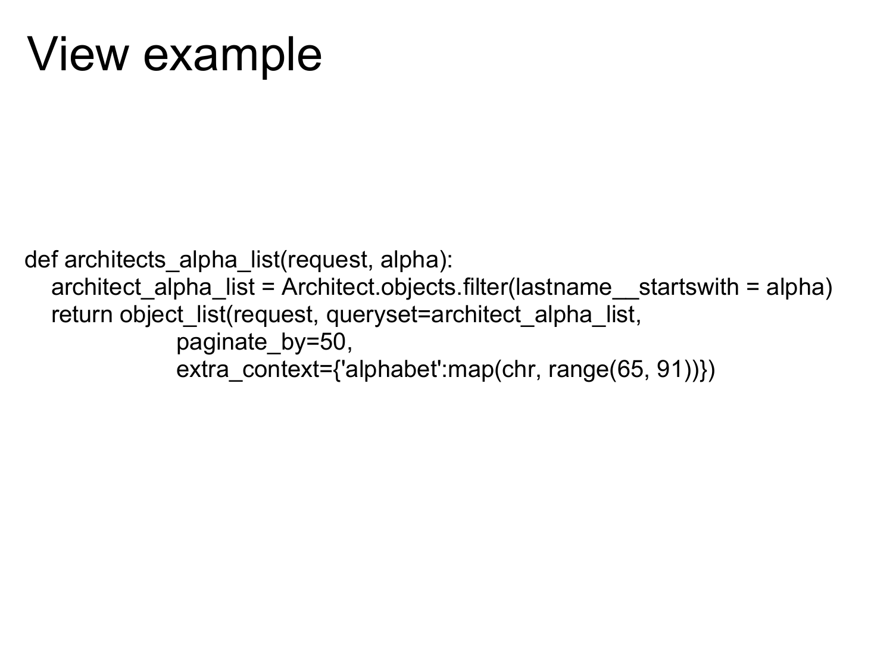### View example

def architects\_alpha\_list(request, alpha): architect alpha list = Architect.objects.filter(lastname startswith = alpha) return object\_list(request, queryset=architect\_alpha\_list, paginate\_by=50, extra\_context={'alphabet':map(chr, range(65, 91))})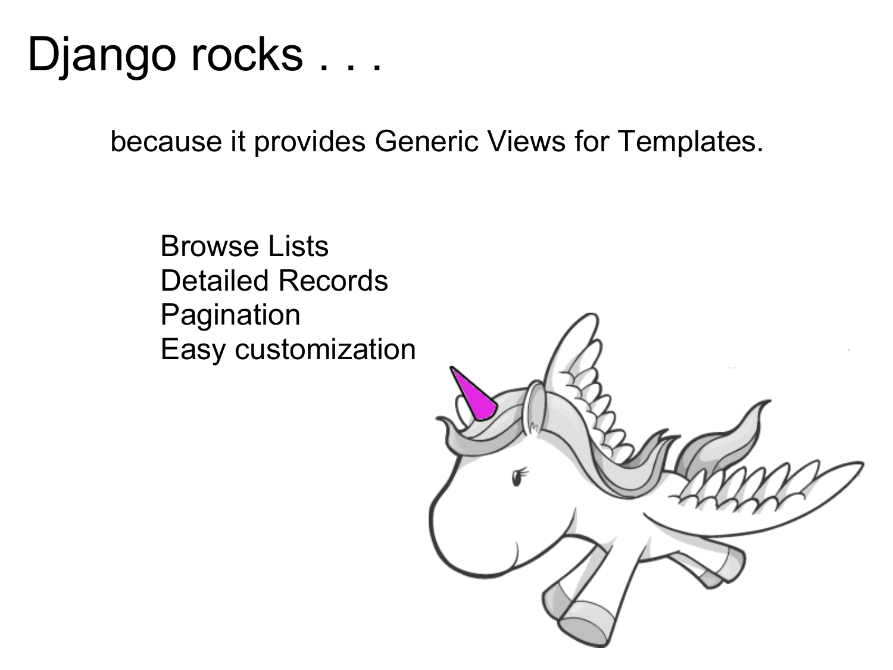because it provides Generic Views for Templates.

Browse Lists Detailed Records Pagination Easy customization

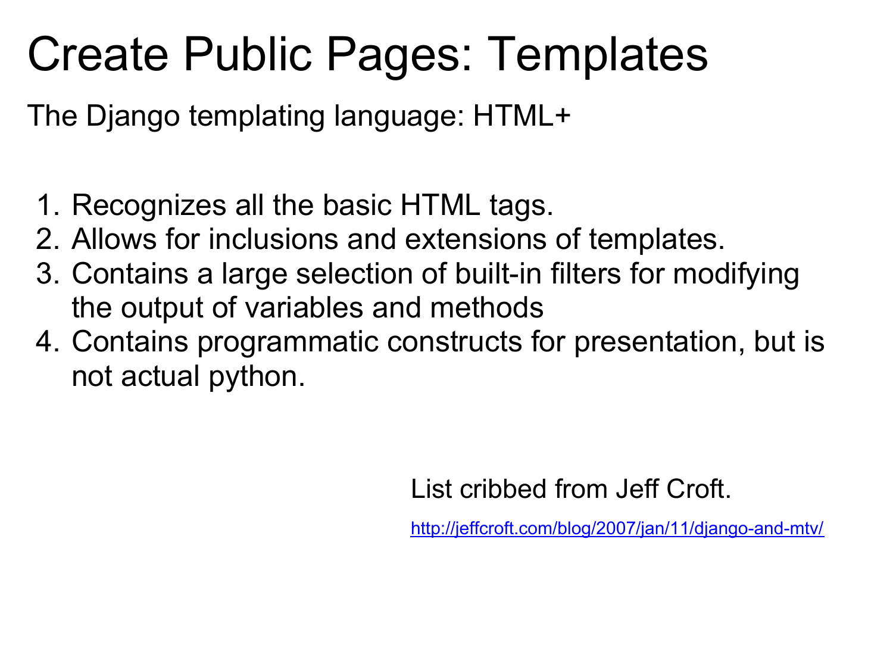### Create Public Pages: Templates

The Django templating language: HTML+

- 1. Recognizes all the basic HTML tags.
- 2. Allows for inclusions and extensions of templates.
- 3. Contains a large selection of built-in filters for modifying the output of variables and methods
- 4. Contains programmatic constructs for presentation, but is not actual python.

List cribbed from Jeff Croft.

<http://jeffcroft.com/blog/2007/jan/11/django-and-mtv/>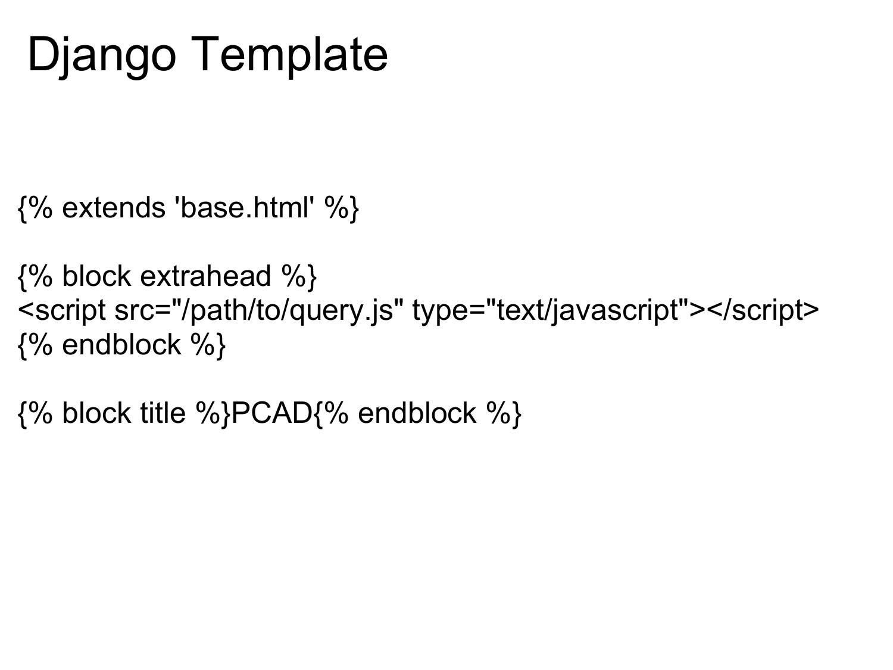# Django Template

{% extends 'base.html' %}

```
{% block extrahead %}
<script src="/path/to/query.js" type="text/javascript"></script>
{% endblock %}
```
{% block title %}PCAD{% endblock %}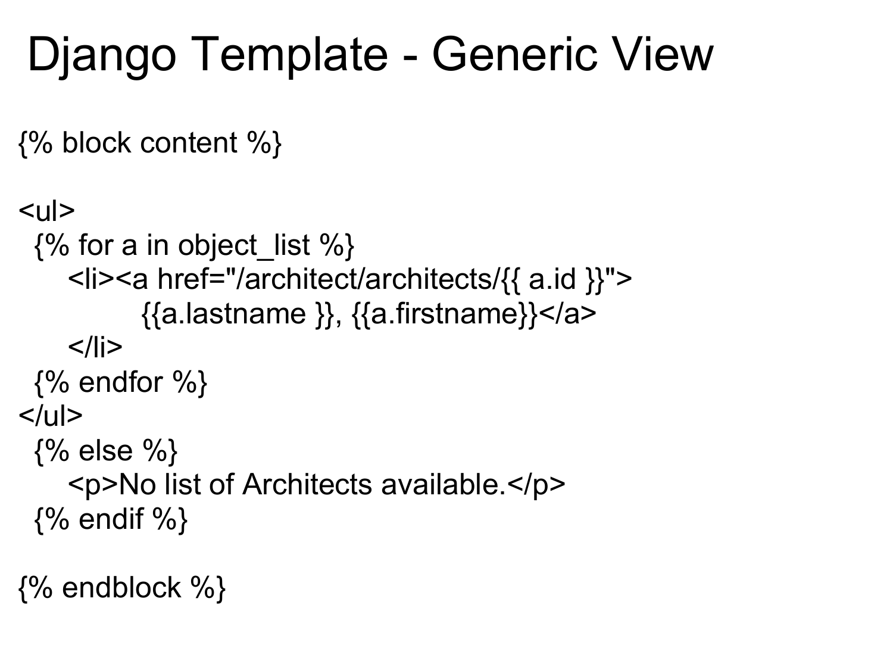# Django Template - Generic View

{% block content %}

```
|<sub>U</sub>|>\{% for a in object list %}
     <li><a href="/architect/architects/{{ a.id }}">
            {{a.lastname }}, {{a.firstname}}</a>
    </li>\{% \rightleftharpoons \{% \}</ul>\{% else \% <p>No list of Architects available.</p>
 \{% endif \%
```
 $\{%$  endblock  $\%$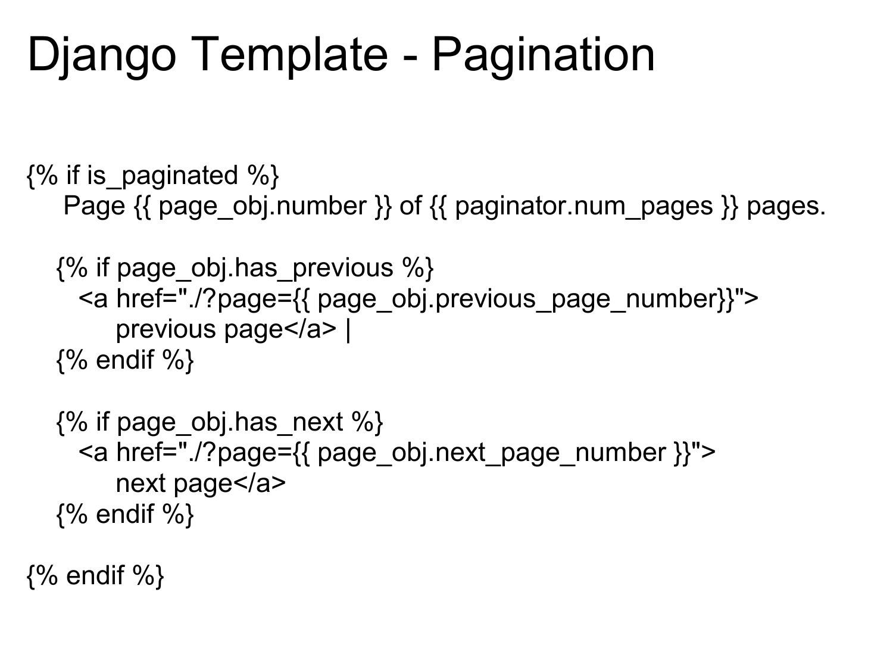### Django Template - Pagination

 $\{%$  if is paginated %} Page  $\{$  page obj.number  $\}$  of  $\{$  paginator.num pages  $\}$  pages.

```
\{% if page obj.has previous \% <a href="./?page={{ page_obj.previous_page_number}}">
      previous page</a> | 
 {% endif %}
```

```
\{% if page obj.has next %}
  <a href="./?page={{ page_obj.next_page_number }}">
     next page</a>
\{% endif \%
```
 $\{%$  endif  $\%$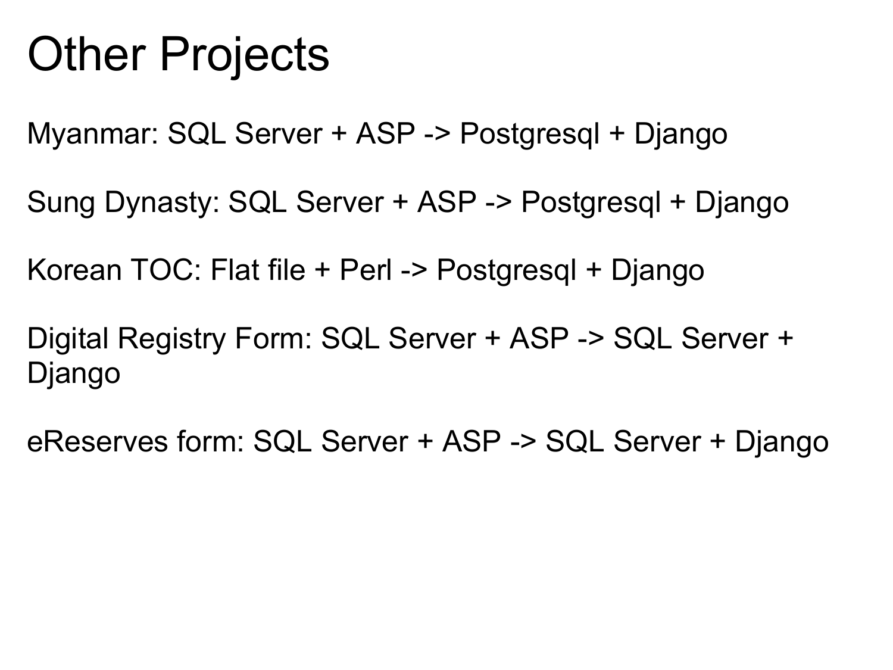### Other Projects

Myanmar: SQL Server + ASP -> Postgresql + Django

Sung Dynasty: SQL Server + ASP -> Postgresql + Django

Korean TOC: Flat file + Perl -> Postgresql + Django

Digital Registry Form: SQL Server + ASP -> SQL Server + Django

eReserves form: SQL Server + ASP -> SQL Server + Django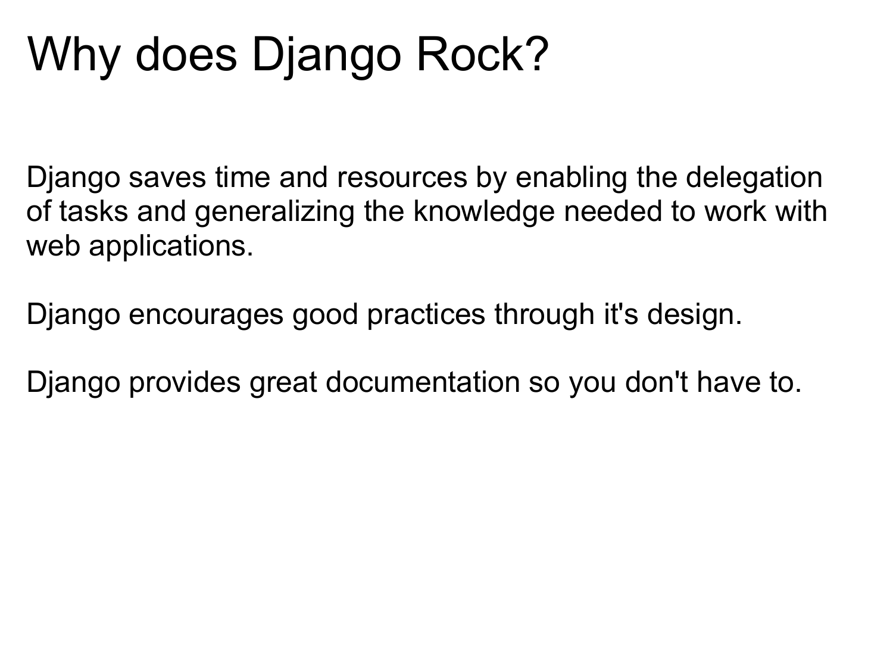# Why does Django Rock?

Django saves time and resources by enabling the delegation of tasks and generalizing the knowledge needed to work with web applications.

Django encourages good practices through it's design.

Django provides great documentation so you don't have to.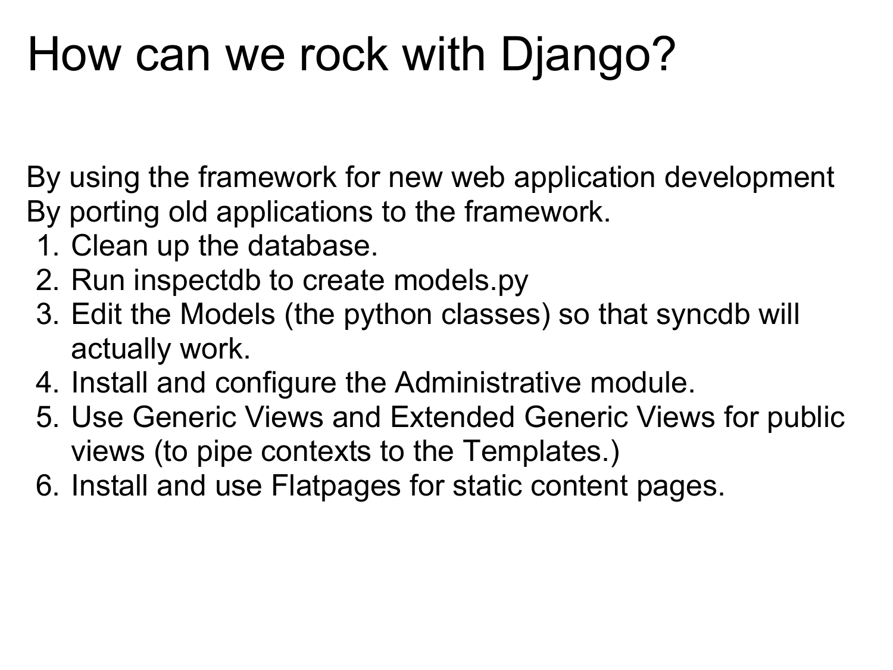# How can we rock with Django?

By using the framework for new web application development By porting old applications to the framework.

- 1. Clean up the database.
- 2. Run inspectdb to create models.py
- 3. Edit the Models (the python classes) so that syncdb will actually work.
- 4. Install and configure the Administrative module.
- 5. Use Generic Views and Extended Generic Views for public views (to pipe contexts to the Templates.)
- 6. Install and use Flatpages for static content pages.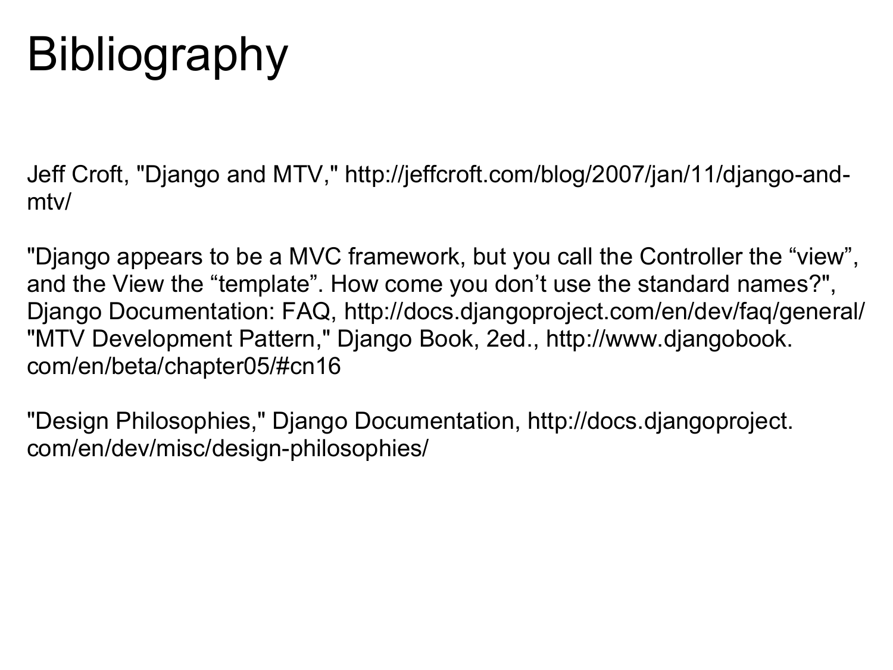# **Bibliography**

Jeff Croft, "Django and MTV," http://jeffcroft.com/blog/2007/jan/11/django-andmtv/

"Django appears to be a MVC framework, but you call the Controller the "view", and the View the "template". How come you don't use the standard names?", Django Documentation: FAQ, http://docs.djangoproject.com/en/dev/faq/general/ "MTV Development Pattern," Django Book, 2ed., http://www.djangobook. com/en/beta/chapter05/#cn16

"Design Philosophies," Django Documentation, http://docs.djangoproject. com/en/dev/misc/design-philosophies/